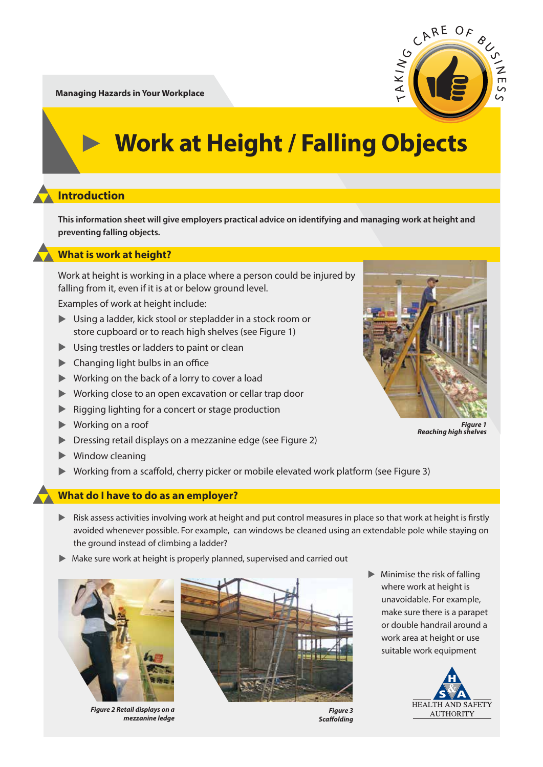

### **Introduction**

**This information sheet will give employers practical advice on identifying and managing work at height and preventing falling objects.** 

### **What is work at height?**

Work at height is working in a place where a person could be injured by falling from it, even if it is at or below ground level.

Examples of work at height include:

- ▶ Using a ladder, kick stool or stepladder in a stock room or store cupboard or to reach high shelves (see Figure 1)
- ▲ Using trestles or ladders to paint or clean
- $\blacktriangleright$  Changing light bulbs in an office
- ▲ Working on the back of a lorry to cover a load
- ▶ Working close to an open excavation or cellar trap door
- **EXECUTE:** Rigging lighting for a concert or stage production
- ▲ Working on a roof
- **Dressing retail displays on a mezzanine edge (see Figure 2)**
- ▲ Window cleaning
- ▶ Working from a scaffold, cherry picker or mobile elevated work platform (see Figure 3)

#### **What do I have to do as an employer?**

- **EXECTS ASSESS ACTIVITIES INVOLVING WORK at height and put control measures in place so that work at height is firstly**  avoided whenever possible. For example, can windows be cleaned using an extendable pole while staying on the ground instead of climbing a ladder?
- ▶ Make sure work at height is properly planned, supervised and carried out



*Figure 2 Retail displays on a mezzanine ledge*



*Figure 3* **Scaffolding** 

 $\blacktriangleright$  Minimise the risk of falling where work at height is unavoidable. For example, make sure there is a parapet or double handrail around a work area at height or use suitable work equipment





*Figure 1 Reaching high shelves*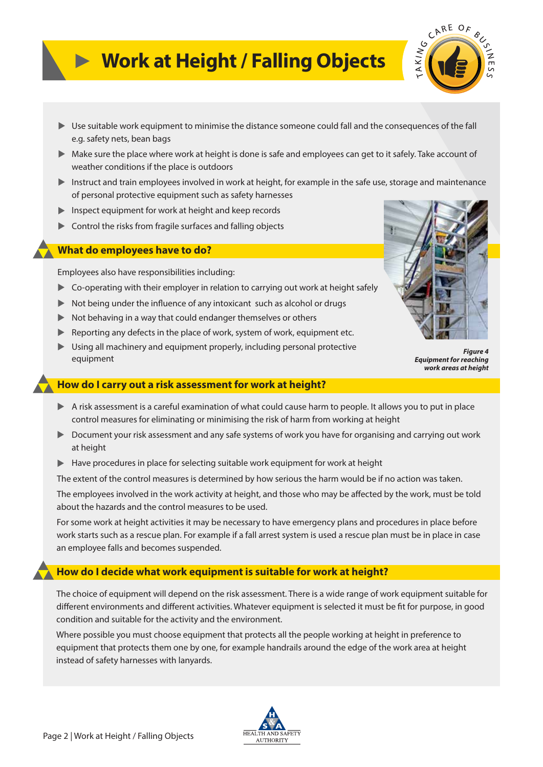

- ▲ Use suitable work equipment to minimise the distance someone could fall and the consequences of the fall e.g. safety nets, bean bags
- ▶ Make sure the place where work at height is done is safe and employees can get to it safely. Take account of weather conditions if the place is outdoors
- Instruct and train employees involved in work at height, for example in the safe use, storage and maintenance of personal protective equipment such as safety harnesses
- **Inspect equipment for work at height and keep records**
- **Control the risks from fragile surfaces and falling objects**

### **What do employees have to do?**

Employees also have responsibilities including:

- **EX** Co-operating with their employer in relation to carrying out work at height safely
- $\blacktriangleright$  Not being under the influence of any intoxicant such as alcohol or drugs
- ▶ Not behaving in a way that could endanger themselves or others
- ▶ Reporting any defects in the place of work, system of work, equipment etc.
- ▶ Using all machinery and equipment properly, including personal protective equipment



*Figure 4 Equipment for reaching work areas at height*

### **How do I carry out a risk assessment for work at height?**

- ▶ A risk assessment is a careful examination of what could cause harm to people. It allows you to put in place control measures for eliminating or minimising the risk of harm from working at height
- ▶ Document your risk assessment and any safe systems of work you have for organising and carrying out work at height
- ▶ Have procedures in place for selecting suitable work equipment for work at height

The extent of the control measures is determined by how serious the harm would be if no action was taken.

The employees involved in the work activity at height, and those who may be affected by the work, must be told about the hazards and the control measures to be used.

For some work at height activities it may be necessary to have emergency plans and procedures in place before work starts such as a rescue plan. For example if a fall arrest system is used a rescue plan must be in place in case an employee falls and becomes suspended.

### **How do I decide what work equipment is suitable for work at height?**

The choice of equipment will depend on the risk assessment. There is a wide range of work equipment suitable for different environments and different activities. Whatever equipment is selected it must be fit for purpose, in good condition and suitable for the activity and the environment.

Where possible you must choose equipment that protects all the people working at height in preference to equipment that protects them one by one, for example handrails around the edge of the work area at height instead of safety harnesses with lanyards.

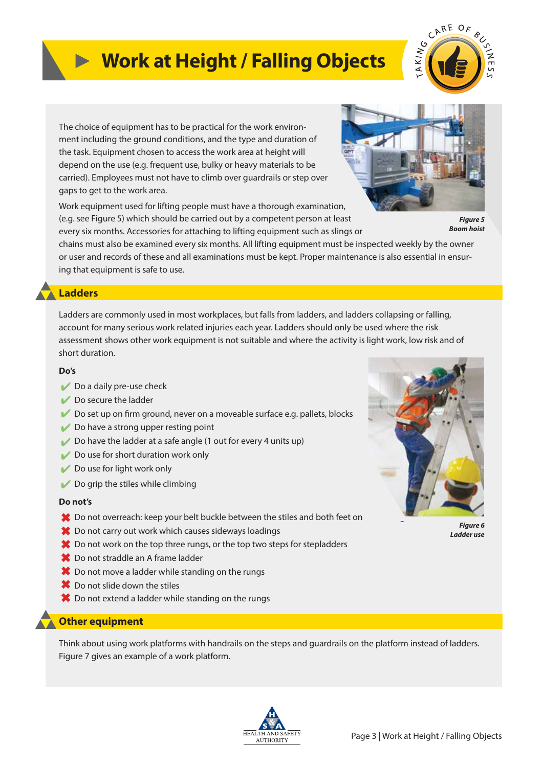

The choice of equipment has to be practical for the work environment including the ground conditions, and the type and duration of the task. Equipment chosen to access the work area at height will depend on the use (e.g. frequent use, bulky or heavy materials to be carried). Employees must not have to climb over guardrails or step over gaps to get to the work area.

Work equipment used for lifting people must have a thorough examination, (e.g. see Figure 5) which should be carried out by a competent person at least every six months. Accessories for attaching to lifting equipment such as slings or



*Figure 5 Boom hoist*

chains must also be examined every six months. All lifting equipment must be inspected weekly by the owner or user and records of these and all examinations must be kept. Proper maintenance is also essential in ensuring that equipment is safe to use.

### **Ladders**

Ladders are commonly used in most workplaces, but falls from ladders, and ladders collapsing or falling, account for many serious work related injuries each year. Ladders should only be used where the risk assessment shows other work equipment is not suitable and where the activity is light work, low risk and of short duration.

#### **Do's**

- Do a daily pre-use check
- Do secure the ladder
- $\triangleright$  Do set up on firm ground, never on a moveable surface e.g. pallets, blocks
- $\vee$  Do have a strong upper resting point
- Do have the ladder at a safe angle  $(1$  out for every 4 units up)
- Do use for short duration work only
- Do use for light work only
- $\triangleright$  Do grip the stiles while climbing

#### **Do not's**

- **★** Do not overreach: keep your belt buckle between the stiles and both feet on
- Do not carry out work which causes sideways loadings
- **<sup>◆</sup>** Do not work on the top three rungs, or the top two steps for stepladders
- **<sup>■</sup>** Do not straddle an A frame ladder
- **<sup>◆</sup>** Do not move a ladder while standing on the rungs
- **<sup>◆</sup>** Do not slide down the stiles
- $\boldsymbol{\ast}$  Do not extend a ladder while standing on the rungs

### **Other equipment**

Think about using work platforms with handrails on the steps and guardrails on the platform instead of ladders. Figure 7 gives an example of a work platform.





*Figure 6 Ladder use*